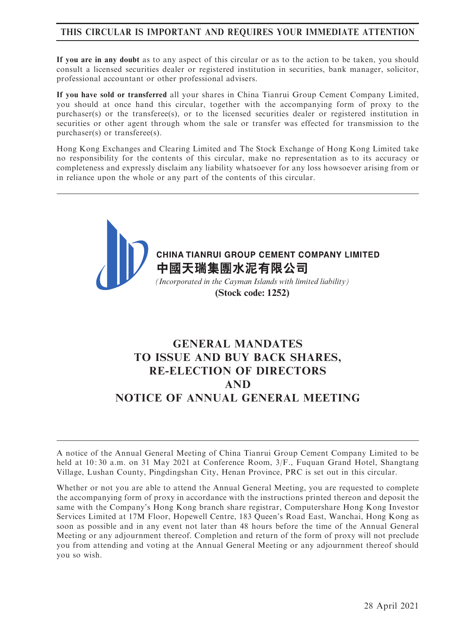# THIS CIRCULAR IS IMPORTANT AND REQUIRES YOUR IMMEDIATE ATTENTION

If you are in any doubt as to any aspect of this circular or as to the action to be taken, you should consult a licensed securities dealer or registered institution in securities, bank manager, solicitor, professional accountant or other professional advisers.

If you have sold or transferred all your shares in China Tianrui Group Cement Company Limited, you should at once hand this circular, together with the accompanying form of proxy to the purchaser(s) or the transferee(s), or to the licensed securities dealer or registered institution in securities or other agent through whom the sale or transfer was effected for transmission to the purchaser(s) or transferee(s).

Hong Kong Exchanges and Clearing Limited and The Stock Exchange of Hong Kong Limited take no responsibility for the contents of this circular, make no representation as to its accuracy or completeness and expressly disclaim any liability whatsoever for any loss howsoever arising from or in reliance upon the whole or any part of the contents of this circular.



# GENERAL MANDATES TO ISSUE AND BUY BACK SHARES, RE-ELECTION OF DIRECTORS AND NOTICE OF ANNUAL GENERAL MEETING

A notice of the Annual General Meeting of China Tianrui Group Cement Company Limited to be held at 10: 30 a.m. on 31 May 2021 at Conference Room, 3/F., Fuquan Grand Hotel, Shangtang Village, Lushan County, Pingdingshan City, Henan Province, PRC is set out in this circular.

Whether or not you are able to attend the Annual General Meeting, you are requested to complete the accompanying form of proxy in accordance with the instructions printed thereon and deposit the same with the Company's Hong Kong branch share registrar, Computershare Hong Kong Investor Services Limited at 17M Floor, Hopewell Centre, 183 Queen's Road East, Wanchai, Hong Kong as soon as possible and in any event not later than 48 hours before the time of the Annual General Meeting or any adjournment thereof. Completion and return of the form of proxy will not preclude you from attending and voting at the Annual General Meeting or any adjournment thereof should you so wish.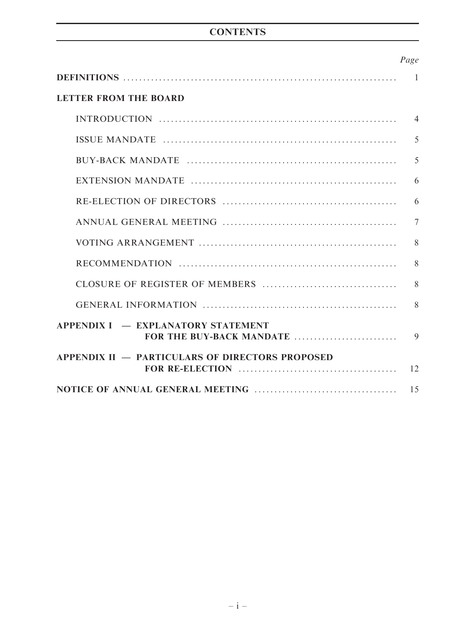# **CONTENTS**

|                                                                                                                      | Page           |
|----------------------------------------------------------------------------------------------------------------------|----------------|
|                                                                                                                      | $\overline{1}$ |
| <b>LETTER FROM THE BOARD</b>                                                                                         |                |
|                                                                                                                      | $\overline{4}$ |
|                                                                                                                      | 5              |
|                                                                                                                      | 5              |
| EXTENSION MANDATE $\ldots$ $\ldots$ $\ldots$ $\ldots$ $\ldots$ $\ldots$ $\ldots$ $\ldots$ $\ldots$ $\ldots$ $\ldots$ | 6              |
|                                                                                                                      | 6              |
|                                                                                                                      | $\overline{7}$ |
|                                                                                                                      | 8              |
|                                                                                                                      | 8              |
|                                                                                                                      | 8              |
|                                                                                                                      | 8              |
| <b>APPENDIX I – EXPLANATORY STATEMENT</b><br>FOR THE BUY-BACK MANDATE                                                | $\mathbf Q$    |
| <b>APPENDIX II - PARTICULARS OF DIRECTORS PROPOSED</b>                                                               |                |
|                                                                                                                      |                |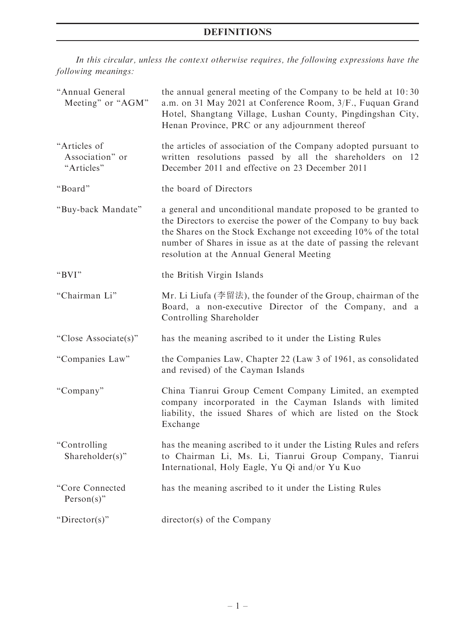# DEFINITIONS

In this circular, unless the context otherwise requires, the following expressions have the following meanings:

| "Annual General<br>Meeting" or "AGM"          | the annual general meeting of the Company to be held at 10:30<br>a.m. on 31 May 2021 at Conference Room, 3/F., Fuquan Grand<br>Hotel, Shangtang Village, Lushan County, Pingdingshan City,<br>Henan Province, PRC or any adjournment thereof                                                                       |
|-----------------------------------------------|--------------------------------------------------------------------------------------------------------------------------------------------------------------------------------------------------------------------------------------------------------------------------------------------------------------------|
| "Articles of<br>Association" or<br>"Articles" | the articles of association of the Company adopted pursuant to<br>written resolutions passed by all the shareholders on 12<br>December 2011 and effective on 23 December 2011                                                                                                                                      |
| "Board"                                       | the board of Directors                                                                                                                                                                                                                                                                                             |
| "Buy-back Mandate"                            | a general and unconditional mandate proposed to be granted to<br>the Directors to exercise the power of the Company to buy back<br>the Shares on the Stock Exchange not exceeding 10% of the total<br>number of Shares in issue as at the date of passing the relevant<br>resolution at the Annual General Meeting |
| "BVI"                                         | the British Virgin Islands                                                                                                                                                                                                                                                                                         |
| "Chairman Li"                                 | Mr. Li Liufa (李留法), the founder of the Group, chairman of the<br>Board, a non-executive Director of the Company, and a<br>Controlling Shareholder                                                                                                                                                                  |
| "Close Associate(s)"                          | has the meaning ascribed to it under the Listing Rules                                                                                                                                                                                                                                                             |
| "Companies Law"                               | the Companies Law, Chapter 22 (Law 3 of 1961, as consolidated<br>and revised) of the Cayman Islands                                                                                                                                                                                                                |
| "Company"                                     | China Tianrui Group Cement Company Limited, an exempted<br>company incorporated in the Cayman Islands with limited<br>liability, the issued Shares of which are listed on the Stock<br>Exchange                                                                                                                    |
| "Controlling<br>Shareholder(s)"               | has the meaning ascribed to it under the Listing Rules and refers<br>to Chairman Li, Ms. Li, Tianrui Group Company, Tianrui<br>International, Holy Eagle, Yu Qi and/or Yu Kuo                                                                                                                                      |
| "Core Connected<br>Person(s)"                 | has the meaning ascribed to it under the Listing Rules                                                                                                                                                                                                                                                             |
| "Director(s)"                                 | director(s) of the Company                                                                                                                                                                                                                                                                                         |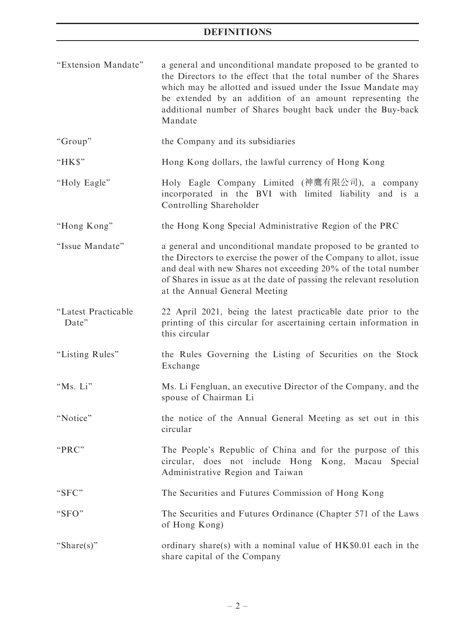| "Extension Mandate"          | a general and unconditional mandate proposed to be granted to<br>the Directors to the effect that the total number of the Shares<br>which may be allotted and issued under the Issue Mandate may<br>be extended by an addition of an amount representing the<br>additional number of Shares bought back under the Buy-back<br>Mandate |
|------------------------------|---------------------------------------------------------------------------------------------------------------------------------------------------------------------------------------------------------------------------------------------------------------------------------------------------------------------------------------|
| "Group"                      | the Company and its subsidiaries                                                                                                                                                                                                                                                                                                      |
| "HK\$"                       | Hong Kong dollars, the lawful currency of Hong Kong                                                                                                                                                                                                                                                                                   |
| "Holy Eagle"                 | Holy Eagle Company Limited (神鷹有限公司), a company<br>incorporated in the BVI with limited liability and is a<br>Controlling Shareholder                                                                                                                                                                                                  |
| "Hong Kong"                  | the Hong Kong Special Administrative Region of the PRC                                                                                                                                                                                                                                                                                |
| "Issue Mandate"              | a general and unconditional mandate proposed to be granted to<br>the Directors to exercise the power of the Company to allot, issue<br>and deal with new Shares not exceeding 20% of the total number<br>of Shares in issue as at the date of passing the relevant resolution<br>at the Annual General Meeting                        |
| "Latest Practicable<br>Date" | 22 April 2021, being the latest practicable date prior to the<br>printing of this circular for ascertaining certain information in<br>this circular                                                                                                                                                                                   |
| "Listing Rules"              | the Rules Governing the Listing of Securities on the Stock<br>Exchange                                                                                                                                                                                                                                                                |
| "Ms. Li"                     | Ms. Li Fengluan, an executive Director of the Company, and the<br>spouse of Chairman Li                                                                                                                                                                                                                                               |
| "Notice"                     | the notice of the Annual General Meeting as set out in this<br>circular                                                                                                                                                                                                                                                               |
| "PRC"                        | The People's Republic of China and for the purpose of this<br>circular, does not include Hong Kong, Macau Special<br>Administrative Region and Taiwan                                                                                                                                                                                 |
| "SFC"                        | The Securities and Futures Commission of Hong Kong                                                                                                                                                                                                                                                                                    |
| "SFO"                        | The Securities and Futures Ordinance (Chapter 571 of the Laws<br>of Hong Kong)                                                                                                                                                                                                                                                        |
| "Share(s)"                   | ordinary share(s) with a nominal value of HK\$0.01 each in the<br>share capital of the Company                                                                                                                                                                                                                                        |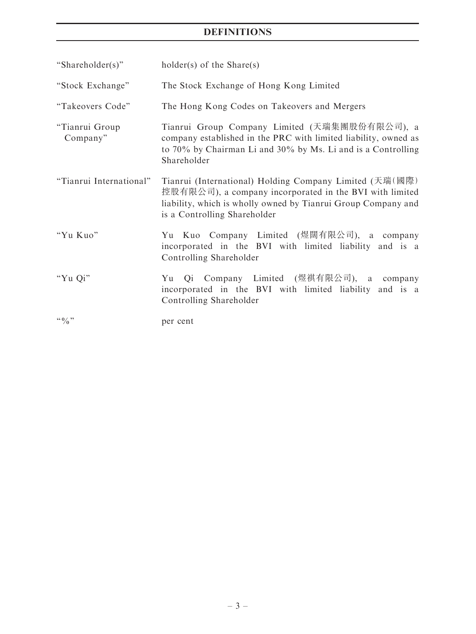# DEFINITIONS

| "Shareholder(s)"           | $holder(s)$ of the Share(s)                                                                                                                                                                                         |  |  |
|----------------------------|---------------------------------------------------------------------------------------------------------------------------------------------------------------------------------------------------------------------|--|--|
| "Stock Exchange"           | The Stock Exchange of Hong Kong Limited                                                                                                                                                                             |  |  |
| "Takeovers Code"           | The Hong Kong Codes on Takeovers and Mergers                                                                                                                                                                        |  |  |
| "Tianrui Group<br>Company" | Tianrui Group Company Limited (天瑞集團股份有限公司), a<br>company established in the PRC with limited liability, owned as<br>to 70% by Chairman Li and 30% by Ms. Li and is a Controlling<br>Shareholder                     |  |  |
| "Tianrui International"    | Tianrui (International) Holding Company Limited (天瑞(國際)<br>控股有限公司), a company incorporated in the BVI with limited<br>liability, which is wholly owned by Tianrui Group Company and<br>is a Controlling Shareholder |  |  |
| "Yu Kuo"                   | Yu Kuo Company Limited (煜闊有限公司), a company<br>incorporated in the BVI with limited liability and is a<br>Controlling Shareholder                                                                                    |  |  |
| "Yu Qi"                    | Yu Qi Company Limited (煜祺有限公司), a company<br>incorporated in the BVI with limited liability and is a<br>Controlling Shareholder                                                                                     |  |  |
|                            | per cent                                                                                                                                                                                                            |  |  |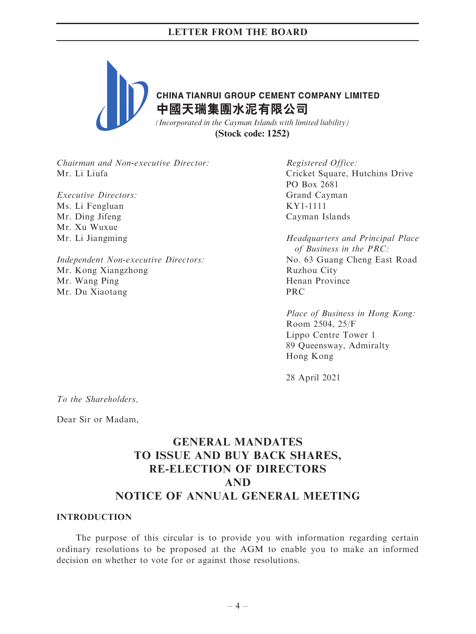

Chairman and Non-executive Director: Mr. Li Liufa

Executive Directors: Ms. Li Fengluan Mr. Ding Jifeng Mr. Xu Wuxue Mr. Li Jiangming

Independent Non-executive Directors: Mr. Kong Xiangzhong Mr. Wang Ping Mr. Du Xiaotang

Registered Office: Cricket Square, Hutchins Drive PO Box 2681 Grand Cayman KY1-1111 Cayman Islands

Headquarters and Principal Place of Business in the PRC: No. 63 Guang Cheng East Road Ruzhou City Henan Province PRC

Place of Business in Hong Kong: Room 2504, 25/F Lippo Centre Tower 1 89 Queensway, Admiralty Hong Kong

28 April 2021

To the Shareholders,

Dear Sir or Madam,

# GENERAL MANDATES TO ISSUE AND BUY BACK SHARES, RE-ELECTION OF DIRECTORS AND NOTICE OF ANNUAL GENERAL MEETING

#### INTRODUCTION

The purpose of this circular is to provide you with information regarding certain ordinary resolutions to be proposed at the AGM to enable you to make an informed decision on whether to vote for or against those resolutions.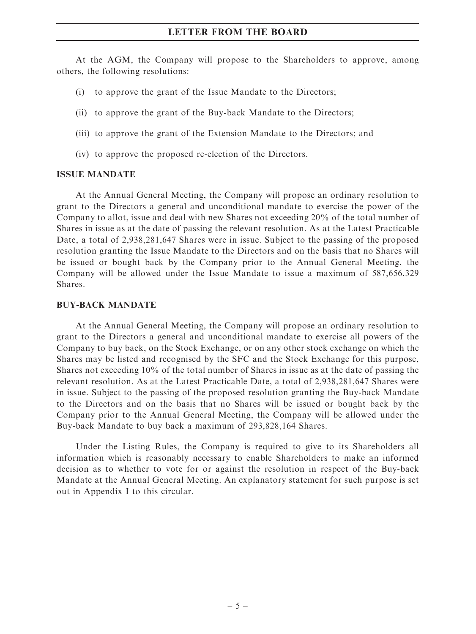At the AGM, the Company will propose to the Shareholders to approve, among others, the following resolutions:

- (i) to approve the grant of the Issue Mandate to the Directors;
- (ii) to approve the grant of the Buy-back Mandate to the Directors;
- (iii) to approve the grant of the Extension Mandate to the Directors; and
- (iv) to approve the proposed re-election of the Directors.

#### ISSUE MANDATE

At the Annual General Meeting, the Company will propose an ordinary resolution to grant to the Directors a general and unconditional mandate to exercise the power of the Company to allot, issue and deal with new Shares not exceeding 20% of the total number of Shares in issue as at the date of passing the relevant resolution. As at the Latest Practicable Date, a total of 2,938,281,647 Shares were in issue. Subject to the passing of the proposed resolution granting the Issue Mandate to the Directors and on the basis that no Shares will be issued or bought back by the Company prior to the Annual General Meeting, the Company will be allowed under the Issue Mandate to issue a maximum of 587,656,329 Shares.

#### BUY-BACK MANDATE

At the Annual General Meeting, the Company will propose an ordinary resolution to grant to the Directors a general and unconditional mandate to exercise all powers of the Company to buy back, on the Stock Exchange, or on any other stock exchange on which the Shares may be listed and recognised by the SFC and the Stock Exchange for this purpose, Shares not exceeding 10% of the total number of Shares in issue as at the date of passing the relevant resolution. As at the Latest Practicable Date, a total of 2,938,281,647 Shares were in issue. Subject to the passing of the proposed resolution granting the Buy-back Mandate to the Directors and on the basis that no Shares will be issued or bought back by the Company prior to the Annual General Meeting, the Company will be allowed under the Buy-back Mandate to buy back a maximum of 293,828,164 Shares.

Under the Listing Rules, the Company is required to give to its Shareholders all information which is reasonably necessary to enable Shareholders to make an informed decision as to whether to vote for or against the resolution in respect of the Buy-back Mandate at the Annual General Meeting. An explanatory statement for such purpose is set out in Appendix I to this circular.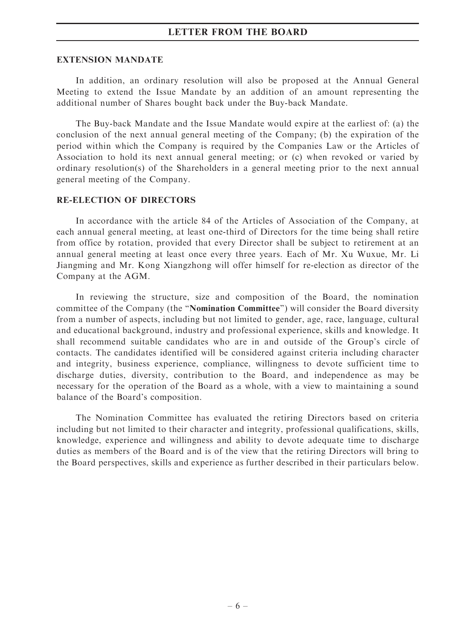#### EXTENSION MANDATE

In addition, an ordinary resolution will also be proposed at the Annual General Meeting to extend the Issue Mandate by an addition of an amount representing the additional number of Shares bought back under the Buy-back Mandate.

The Buy-back Mandate and the Issue Mandate would expire at the earliest of: (a) the conclusion of the next annual general meeting of the Company; (b) the expiration of the period within which the Company is required by the Companies Law or the Articles of Association to hold its next annual general meeting; or (c) when revoked or varied by ordinary resolution(s) of the Shareholders in a general meeting prior to the next annual general meeting of the Company.

#### RE-ELECTION OF DIRECTORS

In accordance with the article 84 of the Articles of Association of the Company, at each annual general meeting, at least one-third of Directors for the time being shall retire from office by rotation, provided that every Director shall be subject to retirement at an annual general meeting at least once every three years. Each of Mr. Xu Wuxue, Mr. Li Jiangming and Mr. Kong Xiangzhong will offer himself for re-election as director of the Company at the AGM.

In reviewing the structure, size and composition of the Board, the nomination committee of the Company (the ''Nomination Committee'') will consider the Board diversity from a number of aspects, including but not limited to gender, age, race, language, cultural and educational background, industry and professional experience, skills and knowledge. It shall recommend suitable candidates who are in and outside of the Group's circle of contacts. The candidates identified will be considered against criteria including character and integrity, business experience, compliance, willingness to devote sufficient time to discharge duties, diversity, contribution to the Board, and independence as may be necessary for the operation of the Board as a whole, with a view to maintaining a sound balance of the Board's composition.

The Nomination Committee has evaluated the retiring Directors based on criteria including but not limited to their character and integrity, professional qualifications, skills, knowledge, experience and willingness and ability to devote adequate time to discharge duties as members of the Board and is of the view that the retiring Directors will bring to the Board perspectives, skills and experience as further described in their particulars below.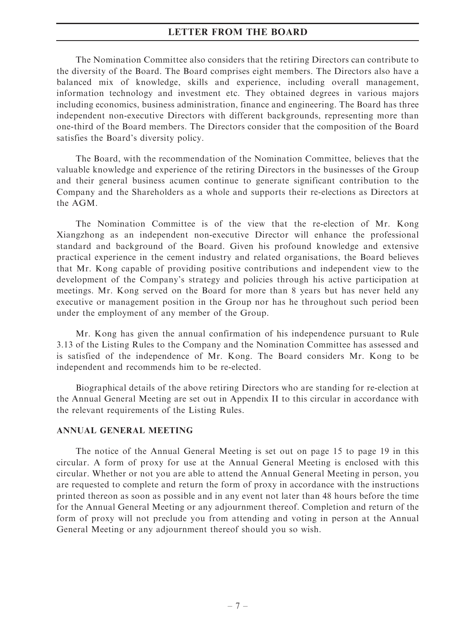The Nomination Committee also considers that the retiring Directors can contribute to the diversity of the Board. The Board comprises eight members. The Directors also have a balanced mix of knowledge, skills and experience, including overall management, information technology and investment etc. They obtained degrees in various majors including economics, business administration, finance and engineering. The Board has three independent non-executive Directors with different backgrounds, representing more than one-third of the Board members. The Directors consider that the composition of the Board satisfies the Board's diversity policy.

The Board, with the recommendation of the Nomination Committee, believes that the valuable knowledge and experience of the retiring Directors in the businesses of the Group and their general business acumen continue to generate significant contribution to the Company and the Shareholders as a whole and supports their re-elections as Directors at the AGM.

The Nomination Committee is of the view that the re-election of Mr. Kong Xiangzhong as an independent non-executive Director will enhance the professional standard and background of the Board. Given his profound knowledge and extensive practical experience in the cement industry and related organisations, the Board believes that Mr. Kong capable of providing positive contributions and independent view to the development of the Company's strategy and policies through his active participation at meetings. Mr. Kong served on the Board for more than 8 years but has never held any executive or management position in the Group nor has he throughout such period been under the employment of any member of the Group.

Mr. Kong has given the annual confirmation of his independence pursuant to Rule 3.13 of the Listing Rules to the Company and the Nomination Committee has assessed and is satisfied of the independence of Mr. Kong. The Board considers Mr. Kong to be independent and recommends him to be re-elected.

Biographical details of the above retiring Directors who are standing for re-election at the Annual General Meeting are set out in Appendix II to this circular in accordance with the relevant requirements of the Listing Rules.

#### ANNUAL GENERAL MEETING

The notice of the Annual General Meeting is set out on page 15 to page 19 in this circular. A form of proxy for use at the Annual General Meeting is enclosed with this circular. Whether or not you are able to attend the Annual General Meeting in person, you are requested to complete and return the form of proxy in accordance with the instructions printed thereon as soon as possible and in any event not later than 48 hours before the time for the Annual General Meeting or any adjournment thereof. Completion and return of the form of proxy will not preclude you from attending and voting in person at the Annual General Meeting or any adjournment thereof should you so wish.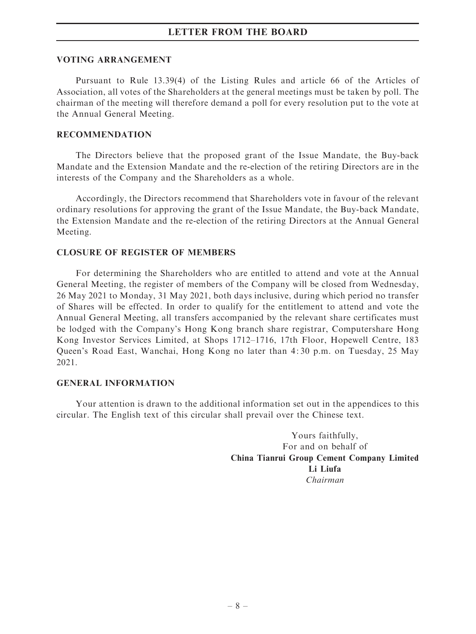#### VOTING ARRANGEMENT

Pursuant to Rule 13.39(4) of the Listing Rules and article 66 of the Articles of Association, all votes of the Shareholders at the general meetings must be taken by poll. The chairman of the meeting will therefore demand a poll for every resolution put to the vote at the Annual General Meeting.

#### RECOMMENDATION

The Directors believe that the proposed grant of the Issue Mandate, the Buy-back Mandate and the Extension Mandate and the re-election of the retiring Directors are in the interests of the Company and the Shareholders as a whole.

Accordingly, the Directors recommend that Shareholders vote in favour of the relevant ordinary resolutions for approving the grant of the Issue Mandate, the Buy-back Mandate, the Extension Mandate and the re-election of the retiring Directors at the Annual General Meeting.

#### CLOSURE OF REGISTER OF MEMBERS

For determining the Shareholders who are entitled to attend and vote at the Annual General Meeting, the register of members of the Company will be closed from Wednesday, 26 May 2021 to Monday, 31 May 2021, both days inclusive, during which period no transfer of Shares will be effected. In order to qualify for the entitlement to attend and vote the Annual General Meeting, all transfers accompanied by the relevant share certificates must be lodged with the Company's Hong Kong branch share registrar, Computershare Hong Kong Investor Services Limited, at Shops 1712–1716, 17th Floor, Hopewell Centre, 183 Queen's Road East, Wanchai, Hong Kong no later than 4: 30 p.m. on Tuesday, 25 May 2021.

#### GENERAL INFORMATION

Your attention is drawn to the additional information set out in the appendices to this circular. The English text of this circular shall prevail over the Chinese text.

> Yours faithfully, For and on behalf of China Tianrui Group Cement Company Limited Li Liufa Chairman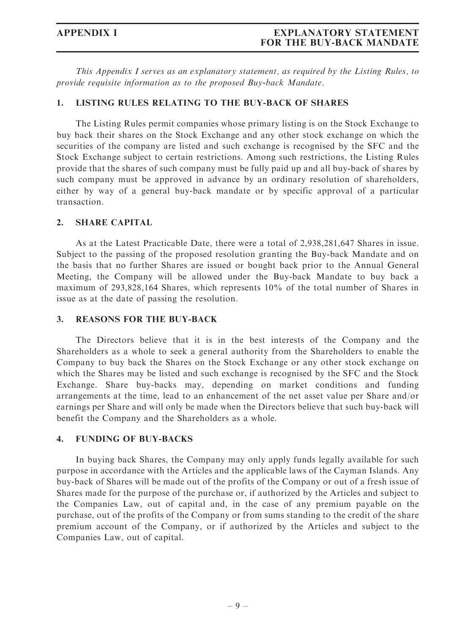This Appendix I serves as an explanatory statement, as required by the Listing Rules, to provide requisite information as to the proposed Buy-back Mandate.

#### 1. LISTING RULES RELATING TO THE BUY-BACK OF SHARES

The Listing Rules permit companies whose primary listing is on the Stock Exchange to buy back their shares on the Stock Exchange and any other stock exchange on which the securities of the company are listed and such exchange is recognised by the SFC and the Stock Exchange subject to certain restrictions. Among such restrictions, the Listing Rules provide that the shares of such company must be fully paid up and all buy-back of shares by such company must be approved in advance by an ordinary resolution of shareholders, either by way of a general buy-back mandate or by specific approval of a particular transaction.

### 2. SHARE CAPITAL

As at the Latest Practicable Date, there were a total of 2,938,281,647 Shares in issue. Subject to the passing of the proposed resolution granting the Buy-back Mandate and on the basis that no further Shares are issued or bought back prior to the Annual General Meeting, the Company will be allowed under the Buy-back Mandate to buy back a maximum of 293,828,164 Shares, which represents 10% of the total number of Shares in issue as at the date of passing the resolution.

#### 3. REASONS FOR THE BUY-BACK

The Directors believe that it is in the best interests of the Company and the Shareholders as a whole to seek a general authority from the Shareholders to enable the Company to buy back the Shares on the Stock Exchange or any other stock exchange on which the Shares may be listed and such exchange is recognised by the SFC and the Stock Exchange. Share buy-backs may, depending on market conditions and funding arrangements at the time, lead to an enhancement of the net asset value per Share and/or earnings per Share and will only be made when the Directors believe that such buy-back will benefit the Company and the Shareholders as a whole.

#### 4. FUNDING OF BUY-BACKS

In buying back Shares, the Company may only apply funds legally available for such purpose in accordance with the Articles and the applicable laws of the Cayman Islands. Any buy-back of Shares will be made out of the profits of the Company or out of a fresh issue of Shares made for the purpose of the purchase or, if authorized by the Articles and subject to the Companies Law, out of capital and, in the case of any premium payable on the purchase, out of the profits of the Company or from sums standing to the credit of the share premium account of the Company, or if authorized by the Articles and subject to the Companies Law, out of capital.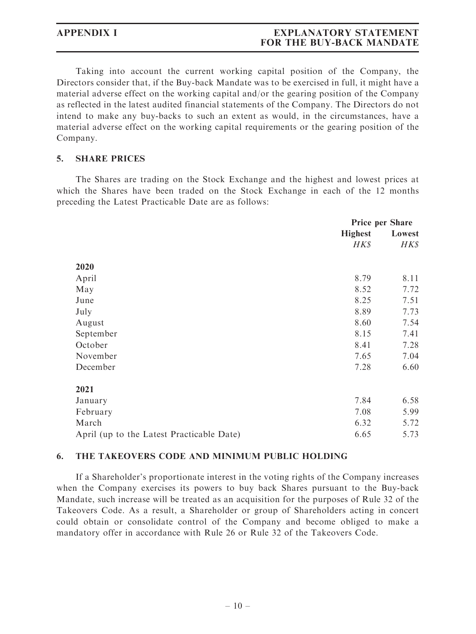Taking into account the current working capital position of the Company, the Directors consider that, if the Buy-back Mandate was to be exercised in full, it might have a material adverse effect on the working capital and/or the gearing position of the Company as reflected in the latest audited financial statements of the Company. The Directors do not intend to make any buy-backs to such an extent as would, in the circumstances, have a material adverse effect on the working capital requirements or the gearing position of the Company.

# 5. SHARE PRICES

The Shares are trading on the Stock Exchange and the highest and lowest prices at which the Shares have been traded on the Stock Exchange in each of the 12 months preceding the Latest Practicable Date are as follows:

|                                           | <b>Price per Share</b> |        |
|-------------------------------------------|------------------------|--------|
|                                           | <b>Highest</b>         | Lowest |
|                                           | H K S                  | HK\$   |
| 2020                                      |                        |        |
| April                                     | 8.79                   | 8.11   |
| May                                       | 8.52                   | 7.72   |
| June                                      | 8.25                   | 7.51   |
| July                                      | 8.89                   | 7.73   |
| August                                    | 8.60                   | 7.54   |
| September                                 | 8.15                   | 7.41   |
| October                                   | 8.41                   | 7.28   |
| November                                  | 7.65                   | 7.04   |
| December                                  | 7.28                   | 6.60   |
| 2021                                      |                        |        |
| January                                   | 7.84                   | 6.58   |
| February                                  | 7.08                   | 5.99   |
| March                                     | 6.32                   | 5.72   |
| April (up to the Latest Practicable Date) | 6.65                   | 5.73   |

#### 6. THE TAKEOVERS CODE AND MINIMUM PUBLIC HOLDING

If a Shareholder's proportionate interest in the voting rights of the Company increases when the Company exercises its powers to buy back Shares pursuant to the Buy-back Mandate, such increase will be treated as an acquisition for the purposes of Rule 32 of the Takeovers Code. As a result, a Shareholder or group of Shareholders acting in concert could obtain or consolidate control of the Company and become obliged to make a mandatory offer in accordance with Rule 26 or Rule 32 of the Takeovers Code.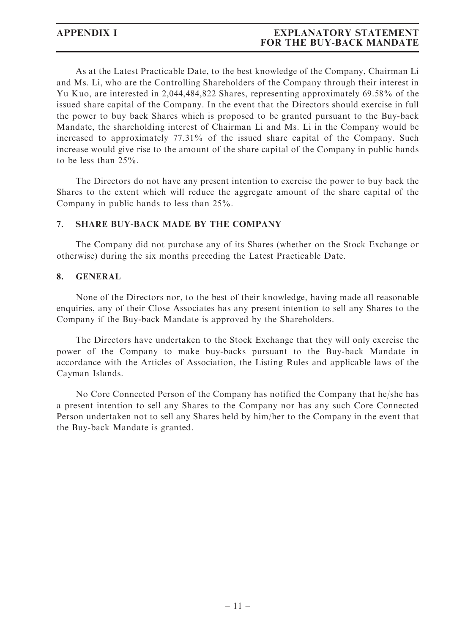# APPENDIX I EXPLANATORY STATEMENT FOR THE BUY-BACK MANDATE

As at the Latest Practicable Date, to the best knowledge of the Company, Chairman Li and Ms. Li, who are the Controlling Shareholders of the Company through their interest in Yu Kuo, are interested in 2,044,484,822 Shares, representing approximately 69.58% of the issued share capital of the Company. In the event that the Directors should exercise in full the power to buy back Shares which is proposed to be granted pursuant to the Buy-back Mandate, the shareholding interest of Chairman Li and Ms. Li in the Company would be increased to approximately 77.31% of the issued share capital of the Company. Such increase would give rise to the amount of the share capital of the Company in public hands to be less than 25%.

The Directors do not have any present intention to exercise the power to buy back the Shares to the extent which will reduce the aggregate amount of the share capital of the Company in public hands to less than 25%.

#### 7. SHARE BUY-BACK MADE BY THE COMPANY

The Company did not purchase any of its Shares (whether on the Stock Exchange or otherwise) during the six months preceding the Latest Practicable Date.

#### 8. GENERAL

None of the Directors nor, to the best of their knowledge, having made all reasonable enquiries, any of their Close Associates has any present intention to sell any Shares to the Company if the Buy-back Mandate is approved by the Shareholders.

The Directors have undertaken to the Stock Exchange that they will only exercise the power of the Company to make buy-backs pursuant to the Buy-back Mandate in accordance with the Articles of Association, the Listing Rules and applicable laws of the Cayman Islands.

No Core Connected Person of the Company has notified the Company that he/she has a present intention to sell any Shares to the Company nor has any such Core Connected Person undertaken not to sell any Shares held by him/her to the Company in the event that the Buy-back Mandate is granted.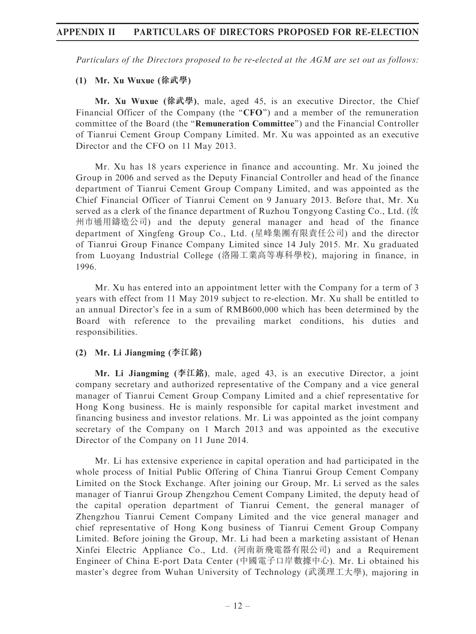# APPENDIX II PARTICULARS OF DIRECTORS PROPOSED FOR RE-ELECTION

Particulars of the Directors proposed to be re-elected at the AGM are set out as follows:

#### (1) Mr. Xu Wuxue (徐武學)

Mr. Xu Wuxue (徐武學), male, aged 45, is an executive Director, the Chief Financial Officer of the Company (the "CFO") and a member of the remuneration committee of the Board (the ''Remuneration Committee'') and the Financial Controller of Tianrui Cement Group Company Limited. Mr. Xu was appointed as an executive Director and the CFO on 11 May 2013.

Mr. Xu has 18 years experience in finance and accounting. Mr. Xu joined the Group in 2006 and served as the Deputy Financial Controller and head of the finance department of Tianrui Cement Group Company Limited, and was appointed as the Chief Financial Officer of Tianrui Cement on 9 January 2013. Before that, Mr. Xu served as a clerk of the finance department of Ruzhou Tongyong Casting Co., Ltd. (汝 州市通用鑄造公司) and the deputy general manager and head of the finance department of Xingfeng Group Co., Ltd. (星峰集團有限責任公司) and the director of Tianrui Group Finance Company Limited since 14 July 2015. Mr. Xu graduated from Luoyang Industrial College (洛陽工業高等專科學校), majoring in finance, in 1996.

Mr. Xu has entered into an appointment letter with the Company for a term of 3 years with effect from 11 May 2019 subject to re-election. Mr. Xu shall be entitled to an annual Director's fee in a sum of RMB600,000 which has been determined by the Board with reference to the prevailing market conditions, his duties and responsibilities.

#### (2) Mr. Li Jiangming (李江銘)

Mr. Li Jiangming (李江銘), male, aged 43, is an executive Director, a joint company secretary and authorized representative of the Company and a vice general manager of Tianrui Cement Group Company Limited and a chief representative for Hong Kong business. He is mainly responsible for capital market investment and financing business and investor relations. Mr. Li was appointed as the joint company secretary of the Company on 1 March 2013 and was appointed as the executive Director of the Company on 11 June 2014.

Mr. Li has extensive experience in capital operation and had participated in the whole process of Initial Public Offering of China Tianrui Group Cement Company Limited on the Stock Exchange. After joining our Group, Mr. Li served as the sales manager of Tianrui Group Zhengzhou Cement Company Limited, the deputy head of the capital operation department of Tianrui Cement, the general manager of Zhengzhou Tianrui Cement Company Limited and the vice general manager and chief representative of Hong Kong business of Tianrui Cement Group Company Limited. Before joining the Group, Mr. Li had been a marketing assistant of Henan Xinfei Electric Appliance Co., Ltd. (河南新飛電器有限公司) and a Requirement Engineer of China E-port Data Center (中國電子口岸數據中心). Mr. Li obtained his master's degree from Wuhan University of Technology (武漢理工大學), majoring in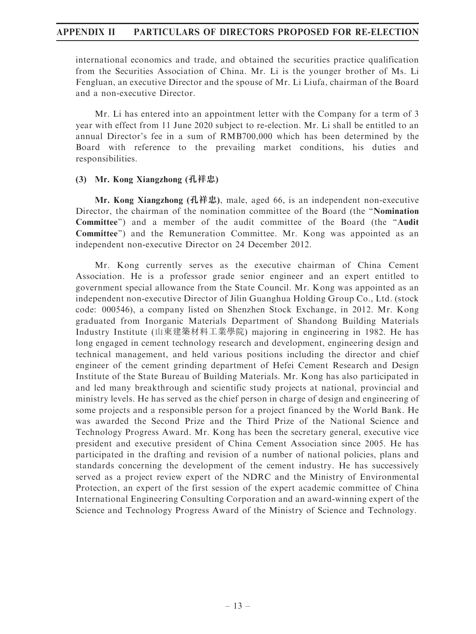# APPENDIX II PARTICULARS OF DIRECTORS PROPOSED FOR RE-ELECTION

international economics and trade, and obtained the securities practice qualification from the Securities Association of China. Mr. Li is the younger brother of Ms. Li Fengluan, an executive Director and the spouse of Mr. Li Liufa, chairman of the Board and a non-executive Director.

Mr. Li has entered into an appointment letter with the Company for a term of 3 year with effect from 11 June 2020 subject to re-election. Mr. Li shall be entitled to an annual Director's fee in a sum of RMB700,000 which has been determined by the Board with reference to the prevailing market conditions, his duties and responsibilities.

# (3) Mr. Kong Xiangzhong (孔祥忠)

Mr. Kong Xiangzhong (孔祥忠), male, aged 66, is an independent non-executive Director, the chairman of the nomination committee of the Board (the ''Nomination Committee'') and a member of the audit committee of the Board (the ''Audit Committee'') and the Remuneration Committee. Mr. Kong was appointed as an independent non-executive Director on 24 December 2012.

Mr. Kong currently serves as the executive chairman of China Cement Association. He is a professor grade senior engineer and an expert entitled to government special allowance from the State Council. Mr. Kong was appointed as an independent non-executive Director of Jilin Guanghua Holding Group Co., Ltd. (stock code: 000546), a company listed on Shenzhen Stock Exchange, in 2012. Mr. Kong graduated from Inorganic Materials Department of Shandong Building Materials Industry Institute (山東建築材料工業學院) majoring in engineering in 1982. He has long engaged in cement technology research and development, engineering design and technical management, and held various positions including the director and chief engineer of the cement grinding department of Hefei Cement Research and Design Institute of the State Bureau of Building Materials. Mr. Kong has also participated in and led many breakthrough and scientific study projects at national, provincial and ministry levels. He has served as the chief person in charge of design and engineering of some projects and a responsible person for a project financed by the World Bank. He was awarded the Second Prize and the Third Prize of the National Science and Technology Progress Award. Mr. Kong has been the secretary general, executive vice president and executive president of China Cement Association since 2005. He has participated in the drafting and revision of a number of national policies, plans and standards concerning the development of the cement industry. He has successively served as a project review expert of the NDRC and the Ministry of Environmental Protection, an expert of the first session of the expert academic committee of China International Engineering Consulting Corporation and an award-winning expert of the Science and Technology Progress Award of the Ministry of Science and Technology.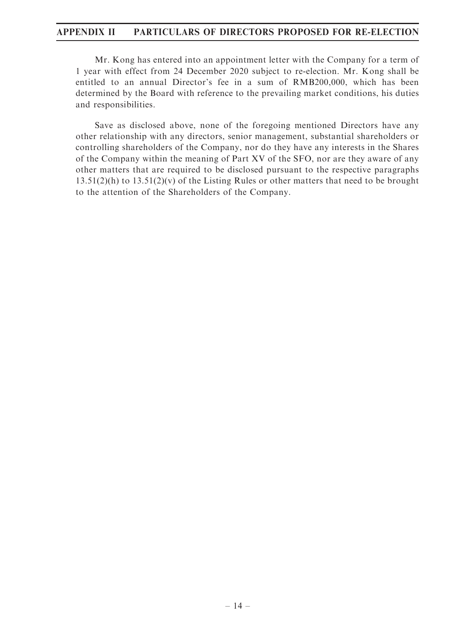# APPENDIX II PARTICULARS OF DIRECTORS PROPOSED FOR RE-ELECTION

Mr. Kong has entered into an appointment letter with the Company for a term of 1 year with effect from 24 December 2020 subject to re-election. Mr. Kong shall be entitled to an annual Director's fee in a sum of RMB200,000, which has been determined by the Board with reference to the prevailing market conditions, his duties and responsibilities.

Save as disclosed above, none of the foregoing mentioned Directors have any other relationship with any directors, senior management, substantial shareholders or controlling shareholders of the Company, nor do they have any interests in the Shares of the Company within the meaning of Part XV of the SFO, nor are they aware of any other matters that are required to be disclosed pursuant to the respective paragraphs  $13.51(2)(h)$  to  $13.51(2)(v)$  of the Listing Rules or other matters that need to be brought to the attention of the Shareholders of the Company.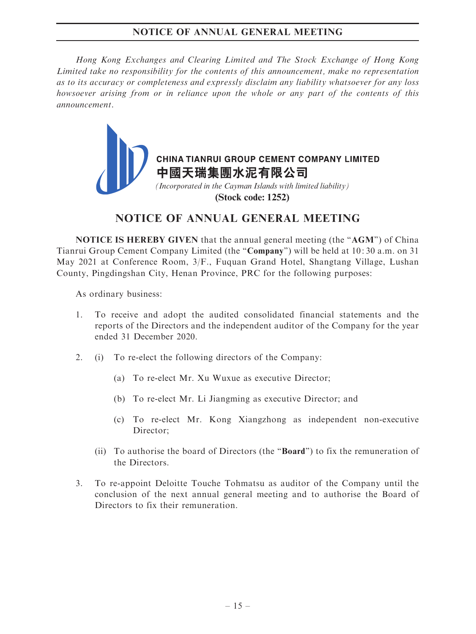# NOTICE OF ANNUAL GENERAL MEETING

Hong Kong Exchanges and Clearing Limited and The Stock Exchange of Hong Kong Limited take no responsibility for the contents of this announcement, make no representation as to its accuracy or completeness and expressly disclaim any liability whatsoever for any loss howsoever arising from or in reliance upon the whole or any part of the contents of this announcement.



# NOTICE OF ANNUAL GENERAL MEETING

NOTICE IS HEREBY GIVEN that the annual general meeting (the ''AGM'') of China Tianrui Group Cement Company Limited (the ''Company'') will be held at 10: 30 a.m. on 31 May 2021 at Conference Room, 3/F., Fuquan Grand Hotel, Shangtang Village, Lushan County, Pingdingshan City, Henan Province, PRC for the following purposes:

As ordinary business:

- 1. To receive and adopt the audited consolidated financial statements and the reports of the Directors and the independent auditor of the Company for the year ended 31 December 2020.
- 2. (i) To re-elect the following directors of the Company:
	- (a) To re-elect Mr. Xu Wuxue as executive Director;
	- (b) To re-elect Mr. Li Jiangming as executive Director; and
	- (c) To re-elect Mr. Kong Xiangzhong as independent non-executive Director:
	- (ii) To authorise the board of Directors (the ''Board'') to fix the remuneration of the Directors.
- 3. To re-appoint Deloitte Touche Tohmatsu as auditor of the Company until the conclusion of the next annual general meeting and to authorise the Board of Directors to fix their remuneration.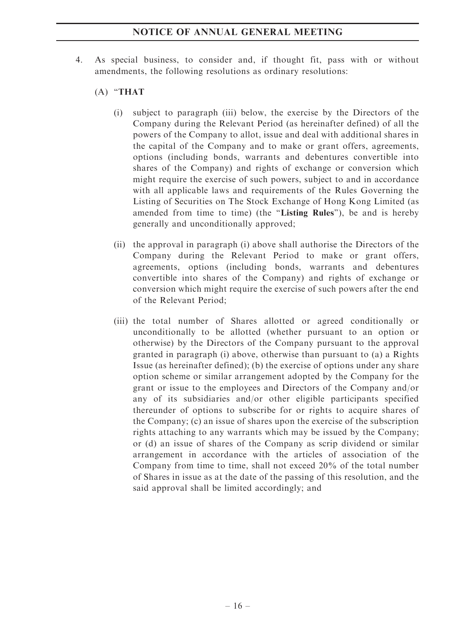# NOTICE OF ANNUAL GENERAL MEETING

- 4. As special business, to consider and, if thought fit, pass with or without amendments, the following resolutions as ordinary resolutions:
	- (A) ''THAT
		- (i) subject to paragraph (iii) below, the exercise by the Directors of the Company during the Relevant Period (as hereinafter defined) of all the powers of the Company to allot, issue and deal with additional shares in the capital of the Company and to make or grant offers, agreements, options (including bonds, warrants and debentures convertible into shares of the Company) and rights of exchange or conversion which might require the exercise of such powers, subject to and in accordance with all applicable laws and requirements of the Rules Governing the Listing of Securities on The Stock Exchange of Hong Kong Limited (as amended from time to time) (the "Listing Rules"), be and is hereby generally and unconditionally approved;
		- (ii) the approval in paragraph (i) above shall authorise the Directors of the Company during the Relevant Period to make or grant offers, agreements, options (including bonds, warrants and debentures convertible into shares of the Company) and rights of exchange or conversion which might require the exercise of such powers after the end of the Relevant Period;
		- (iii) the total number of Shares allotted or agreed conditionally or unconditionally to be allotted (whether pursuant to an option or otherwise) by the Directors of the Company pursuant to the approval granted in paragraph (i) above, otherwise than pursuant to (a) a Rights Issue (as hereinafter defined); (b) the exercise of options under any share option scheme or similar arrangement adopted by the Company for the grant or issue to the employees and Directors of the Company and/or any of its subsidiaries and/or other eligible participants specified thereunder of options to subscribe for or rights to acquire shares of the Company; (c) an issue of shares upon the exercise of the subscription rights attaching to any warrants which may be issued by the Company; or (d) an issue of shares of the Company as scrip dividend or similar arrangement in accordance with the articles of association of the Company from time to time, shall not exceed 20% of the total number of Shares in issue as at the date of the passing of this resolution, and the said approval shall be limited accordingly; and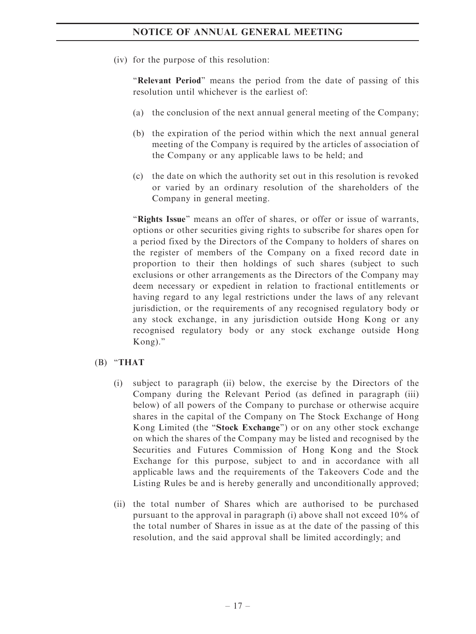(iv) for the purpose of this resolution:

"Relevant Period" means the period from the date of passing of this resolution until whichever is the earliest of:

- (a) the conclusion of the next annual general meeting of the Company;
- (b) the expiration of the period within which the next annual general meeting of the Company is required by the articles of association of the Company or any applicable laws to be held; and
- (c) the date on which the authority set out in this resolution is revoked or varied by an ordinary resolution of the shareholders of the Company in general meeting.

"Rights Issue" means an offer of shares, or offer or issue of warrants, options or other securities giving rights to subscribe for shares open for a period fixed by the Directors of the Company to holders of shares on the register of members of the Company on a fixed record date in proportion to their then holdings of such shares (subject to such exclusions or other arrangements as the Directors of the Company may deem necessary or expedient in relation to fractional entitlements or having regard to any legal restrictions under the laws of any relevant jurisdiction, or the requirements of any recognised regulatory body or any stock exchange, in any jurisdiction outside Hong Kong or any recognised regulatory body or any stock exchange outside Hong Kong).''

# $(B)$  "THAT

- (i) subject to paragraph (ii) below, the exercise by the Directors of the Company during the Relevant Period (as defined in paragraph (iii) below) of all powers of the Company to purchase or otherwise acquire shares in the capital of the Company on The Stock Exchange of Hong Kong Limited (the "Stock Exchange") or on any other stock exchange on which the shares of the Company may be listed and recognised by the Securities and Futures Commission of Hong Kong and the Stock Exchange for this purpose, subject to and in accordance with all applicable laws and the requirements of the Takeovers Code and the Listing Rules be and is hereby generally and unconditionally approved;
- (ii) the total number of Shares which are authorised to be purchased pursuant to the approval in paragraph (i) above shall not exceed 10% of the total number of Shares in issue as at the date of the passing of this resolution, and the said approval shall be limited accordingly; and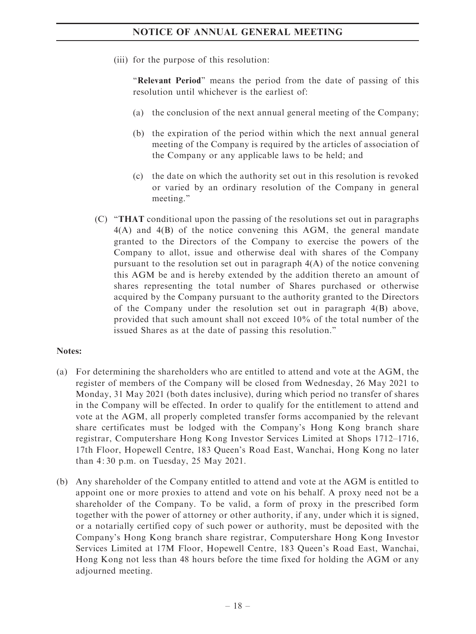(iii) for the purpose of this resolution:

"Relevant Period" means the period from the date of passing of this resolution until whichever is the earliest of:

- (a) the conclusion of the next annual general meeting of the Company;
- (b) the expiration of the period within which the next annual general meeting of the Company is required by the articles of association of the Company or any applicable laws to be held; and
- (c) the date on which the authority set out in this resolution is revoked or varied by an ordinary resolution of the Company in general meeting.''
- (C) ''THAT conditional upon the passing of the resolutions set out in paragraphs 4(A) and 4(B) of the notice convening this AGM, the general mandate granted to the Directors of the Company to exercise the powers of the Company to allot, issue and otherwise deal with shares of the Company pursuant to the resolution set out in paragraph 4(A) of the notice convening this AGM be and is hereby extended by the addition thereto an amount of shares representing the total number of Shares purchased or otherwise acquired by the Company pursuant to the authority granted to the Directors of the Company under the resolution set out in paragraph 4(B) above, provided that such amount shall not exceed 10% of the total number of the issued Shares as at the date of passing this resolution.''

# Notes:

- (a) For determining the shareholders who are entitled to attend and vote at the AGM, the register of members of the Company will be closed from Wednesday, 26 May 2021 to Monday, 31 May 2021 (both dates inclusive), during which period no transfer of shares in the Company will be effected. In order to qualify for the entitlement to attend and vote at the AGM, all properly completed transfer forms accompanied by the relevant share certificates must be lodged with the Company's Hong Kong branch share registrar, Computershare Hong Kong Investor Services Limited at Shops 1712–1716, 17th Floor, Hopewell Centre, 183 Queen's Road East, Wanchai, Hong Kong no later than 4: 30 p.m. on Tuesday, 25 May 2021.
- (b) Any shareholder of the Company entitled to attend and vote at the AGM is entitled to appoint one or more proxies to attend and vote on his behalf. A proxy need not be a shareholder of the Company. To be valid, a form of proxy in the prescribed form together with the power of attorney or other authority, if any, under which it is signed, or a notarially certified copy of such power or authority, must be deposited with the Company's Hong Kong branch share registrar, Computershare Hong Kong Investor Services Limited at 17M Floor, Hopewell Centre, 183 Queen's Road East, Wanchai, Hong Kong not less than 48 hours before the time fixed for holding the AGM or any adjourned meeting.